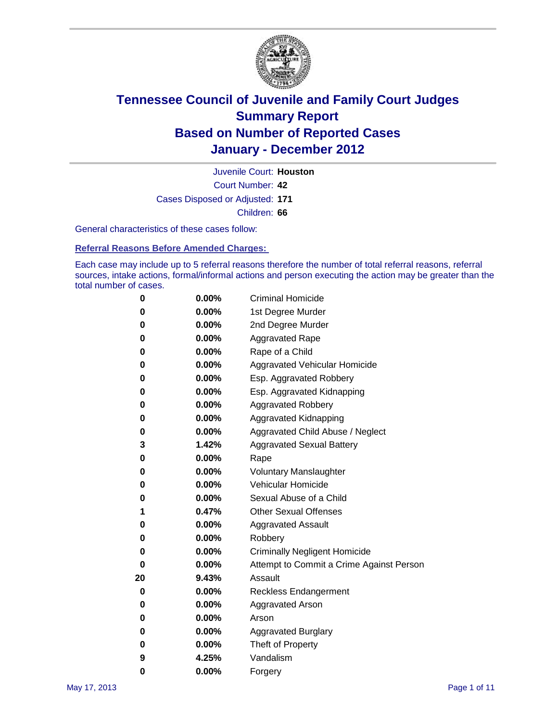

Court Number: **42** Juvenile Court: **Houston** Cases Disposed or Adjusted: **171** Children: **66**

General characteristics of these cases follow:

**Referral Reasons Before Amended Charges:** 

Each case may include up to 5 referral reasons therefore the number of total referral reasons, referral sources, intake actions, formal/informal actions and person executing the action may be greater than the total number of cases.

| 0  | 0.00% | <b>Criminal Homicide</b>                 |
|----|-------|------------------------------------------|
| 0  | 0.00% | 1st Degree Murder                        |
| 0  | 0.00% | 2nd Degree Murder                        |
| 0  | 0.00% | <b>Aggravated Rape</b>                   |
| 0  | 0.00% | Rape of a Child                          |
| 0  | 0.00% | Aggravated Vehicular Homicide            |
| 0  | 0.00% | Esp. Aggravated Robbery                  |
| 0  | 0.00% | Esp. Aggravated Kidnapping               |
| 0  | 0.00% | <b>Aggravated Robbery</b>                |
| 0  | 0.00% | Aggravated Kidnapping                    |
| 0  | 0.00% | Aggravated Child Abuse / Neglect         |
| 3  | 1.42% | <b>Aggravated Sexual Battery</b>         |
| 0  | 0.00% | Rape                                     |
| 0  | 0.00% | <b>Voluntary Manslaughter</b>            |
| 0  | 0.00% | Vehicular Homicide                       |
| 0  | 0.00% | Sexual Abuse of a Child                  |
| 1  | 0.47% | <b>Other Sexual Offenses</b>             |
| 0  | 0.00% | <b>Aggravated Assault</b>                |
| 0  | 0.00% | Robbery                                  |
| 0  | 0.00% | <b>Criminally Negligent Homicide</b>     |
| 0  | 0.00% | Attempt to Commit a Crime Against Person |
| 20 | 9.43% | Assault                                  |
| 0  | 0.00% | <b>Reckless Endangerment</b>             |
| 0  | 0.00% | <b>Aggravated Arson</b>                  |
| 0  | 0.00% | Arson                                    |
| 0  | 0.00% | <b>Aggravated Burglary</b>               |
| 0  | 0.00% | Theft of Property                        |
| 9  | 4.25% | Vandalism                                |
| 0  | 0.00% | Forgery                                  |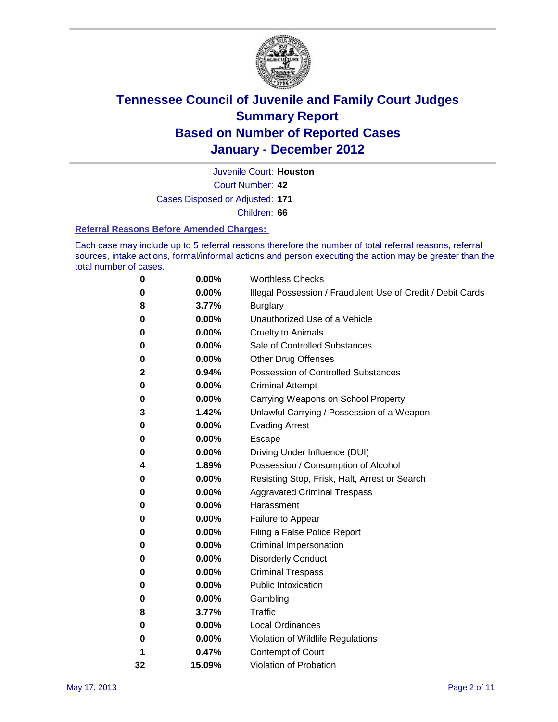

Juvenile Court: **Houston**

Court Number: **42**

Cases Disposed or Adjusted: **171**

Children: **66**

#### **Referral Reasons Before Amended Charges:**

Each case may include up to 5 referral reasons therefore the number of total referral reasons, referral sources, intake actions, formal/informal actions and person executing the action may be greater than the total number of cases.

| 0  | 0.00%  | <b>Worthless Checks</b>                                     |
|----|--------|-------------------------------------------------------------|
| 0  | 0.00%  | Illegal Possession / Fraudulent Use of Credit / Debit Cards |
| 8  | 3.77%  | <b>Burglary</b>                                             |
| 0  | 0.00%  | Unauthorized Use of a Vehicle                               |
| 0  | 0.00%  | <b>Cruelty to Animals</b>                                   |
| 0  | 0.00%  | Sale of Controlled Substances                               |
| 0  | 0.00%  | <b>Other Drug Offenses</b>                                  |
| 2  | 0.94%  | <b>Possession of Controlled Substances</b>                  |
| 0  | 0.00%  | <b>Criminal Attempt</b>                                     |
| 0  | 0.00%  | Carrying Weapons on School Property                         |
| 3  | 1.42%  | Unlawful Carrying / Possession of a Weapon                  |
| 0  | 0.00%  | <b>Evading Arrest</b>                                       |
| 0  | 0.00%  | Escape                                                      |
| 0  | 0.00%  | Driving Under Influence (DUI)                               |
| 4  | 1.89%  | Possession / Consumption of Alcohol                         |
| 0  | 0.00%  | Resisting Stop, Frisk, Halt, Arrest or Search               |
| 0  | 0.00%  | <b>Aggravated Criminal Trespass</b>                         |
| 0  | 0.00%  | Harassment                                                  |
| 0  | 0.00%  | Failure to Appear                                           |
| 0  | 0.00%  | Filing a False Police Report                                |
| 0  | 0.00%  | Criminal Impersonation                                      |
| 0  | 0.00%  | <b>Disorderly Conduct</b>                                   |
| 0  | 0.00%  | <b>Criminal Trespass</b>                                    |
| 0  | 0.00%  | <b>Public Intoxication</b>                                  |
| 0  | 0.00%  | Gambling                                                    |
| 8  | 3.77%  | <b>Traffic</b>                                              |
| 0  | 0.00%  | <b>Local Ordinances</b>                                     |
| 0  | 0.00%  | Violation of Wildlife Regulations                           |
| 1  | 0.47%  | Contempt of Court                                           |
| 32 | 15.09% | Violation of Probation                                      |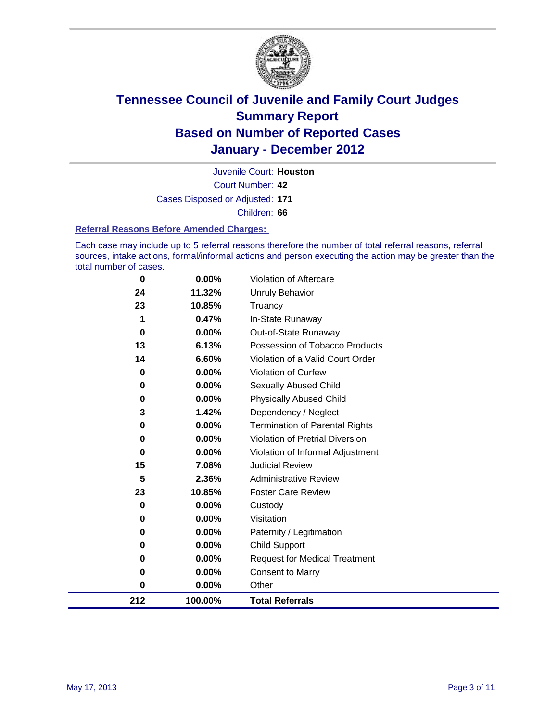

Court Number: **42** Juvenile Court: **Houston** Cases Disposed or Adjusted: **171** Children: **66**

**Referral Reasons Before Amended Charges:** 

Each case may include up to 5 referral reasons therefore the number of total referral reasons, referral sources, intake actions, formal/informal actions and person executing the action may be greater than the total number of cases.

| 212       | 100.00%  | <b>Total Referrals</b>                 |
|-----------|----------|----------------------------------------|
| $\pmb{0}$ | 0.00%    | Other                                  |
| 0         | 0.00%    | Consent to Marry                       |
| 0         | 0.00%    | <b>Request for Medical Treatment</b>   |
| 0         | 0.00%    | <b>Child Support</b>                   |
| 0         | 0.00%    | Paternity / Legitimation               |
| 0         | 0.00%    | Visitation                             |
| 0         | 0.00%    | Custody                                |
| 23        | 10.85%   | <b>Foster Care Review</b>              |
| 5         | 2.36%    | <b>Administrative Review</b>           |
| 15        | 7.08%    | <b>Judicial Review</b>                 |
| $\bf{0}$  | 0.00%    | Violation of Informal Adjustment       |
| 0         | 0.00%    | <b>Violation of Pretrial Diversion</b> |
| 0         | 0.00%    | <b>Termination of Parental Rights</b>  |
| 3         | 1.42%    | Dependency / Neglect                   |
| 0         | 0.00%    | <b>Physically Abused Child</b>         |
| 0         | $0.00\%$ | <b>Sexually Abused Child</b>           |
| 0         | $0.00\%$ | Violation of Curfew                    |
| 14        | 6.60%    | Violation of a Valid Court Order       |
| 13        | 6.13%    | Possession of Tobacco Products         |
| 0         | $0.00\%$ | Out-of-State Runaway                   |
| 1         | 0.47%    | In-State Runaway                       |
| 23        | 10.85%   | Truancy                                |
| 24        | 11.32%   | <b>Unruly Behavior</b>                 |
| 0         | 0.00%    | Violation of Aftercare                 |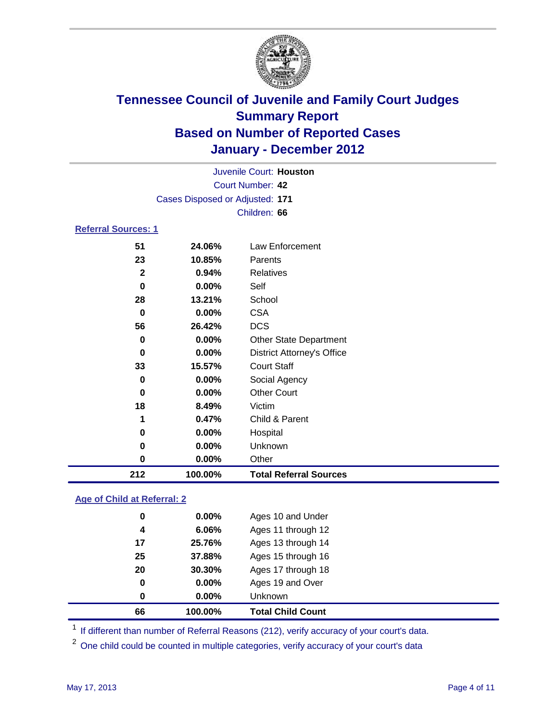

| 212                        | 100.00%                         | <b>Total Referral Sources</b>     |  |  |  |
|----------------------------|---------------------------------|-----------------------------------|--|--|--|
| 0                          | 0.00%                           | Other                             |  |  |  |
| $\bf{0}$                   | $0.00\%$                        | Unknown                           |  |  |  |
| 0                          | 0.00%                           | Hospital                          |  |  |  |
| 1                          | 0.47%                           | Child & Parent                    |  |  |  |
| 18                         | 8.49%                           | Victim                            |  |  |  |
| $\bf{0}$                   | $0.00\%$                        | <b>Other Court</b>                |  |  |  |
| $\bf{0}$                   | $0.00\%$                        | Social Agency                     |  |  |  |
| 33                         | 15.57%                          | <b>Court Staff</b>                |  |  |  |
| $\bf{0}$                   | 0.00%                           | <b>District Attorney's Office</b> |  |  |  |
| $\bf{0}$                   | 0.00%                           | <b>Other State Department</b>     |  |  |  |
| 56                         | 26.42%                          | <b>DCS</b>                        |  |  |  |
| 0                          | 0.00%                           | <b>CSA</b>                        |  |  |  |
| 28                         | 13.21%                          | School                            |  |  |  |
| $\bf{0}$                   | $0.00\%$                        | Self                              |  |  |  |
| $\mathbf{2}$               | 0.94%                           | <b>Relatives</b>                  |  |  |  |
| 23                         | 10.85%                          | Parents                           |  |  |  |
| 51                         | 24.06%                          | Law Enforcement                   |  |  |  |
| <b>Referral Sources: 1</b> |                                 |                                   |  |  |  |
|                            | Children: 66                    |                                   |  |  |  |
|                            | Cases Disposed or Adjusted: 171 |                                   |  |  |  |
|                            |                                 | <b>Court Number: 42</b>           |  |  |  |
|                            | Juvenile Court: Houston         |                                   |  |  |  |
|                            |                                 |                                   |  |  |  |

#### **Age of Child at Referral: 2**

| 0<br>0 | 0.00%<br>$0.00\%$ | Ages 19 and Over<br><b>Unknown</b> |  |
|--------|-------------------|------------------------------------|--|
|        |                   |                                    |  |
|        |                   |                                    |  |
| 20     | 30.30%            | Ages 17 through 18                 |  |
| 25     | 37.88%            | Ages 15 through 16                 |  |
| 17     | 25.76%            | Ages 13 through 14                 |  |
| 4      | 6.06%             | Ages 11 through 12                 |  |
| 0      | $0.00\%$          | Ages 10 and Under                  |  |
|        |                   |                                    |  |

<sup>1</sup> If different than number of Referral Reasons (212), verify accuracy of your court's data.

<sup>2</sup> One child could be counted in multiple categories, verify accuracy of your court's data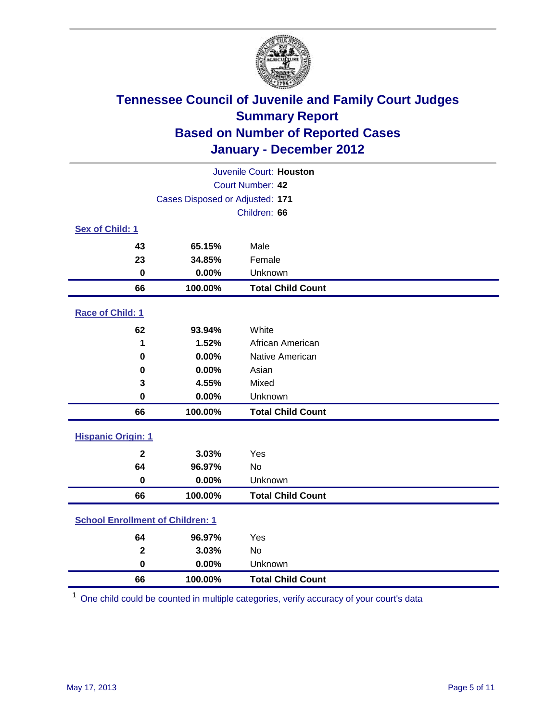

| Juvenile Court: Houston                 |                                 |                          |  |  |
|-----------------------------------------|---------------------------------|--------------------------|--|--|
| Court Number: 42                        |                                 |                          |  |  |
|                                         | Cases Disposed or Adjusted: 171 |                          |  |  |
|                                         | Children: 66                    |                          |  |  |
| Sex of Child: 1                         |                                 |                          |  |  |
| 43                                      | 65.15%                          | Male                     |  |  |
| 23                                      | 34.85%                          | Female                   |  |  |
| $\mathbf 0$                             | 0.00%                           | Unknown                  |  |  |
| 66                                      | 100.00%                         | <b>Total Child Count</b> |  |  |
| Race of Child: 1                        |                                 |                          |  |  |
| 62                                      | 93.94%                          | White                    |  |  |
| 1                                       | 1.52%                           | African American         |  |  |
| 0                                       | 0.00%                           | Native American          |  |  |
| 0                                       | 0.00%                           | Asian                    |  |  |
| 3                                       | 4.55%                           | Mixed                    |  |  |
| $\mathbf 0$                             | 0.00%                           | Unknown                  |  |  |
| 66                                      | 100.00%                         | <b>Total Child Count</b> |  |  |
| <b>Hispanic Origin: 1</b>               |                                 |                          |  |  |
| $\mathbf{2}$                            | 3.03%                           | Yes                      |  |  |
| 64                                      | 96.97%                          | <b>No</b>                |  |  |
| $\mathbf 0$                             | 0.00%                           | Unknown                  |  |  |
| 66                                      | 100.00%                         | <b>Total Child Count</b> |  |  |
| <b>School Enrollment of Children: 1</b> |                                 |                          |  |  |
| 64                                      | 96.97%                          | Yes                      |  |  |
| $\mathbf 2$                             | 3.03%                           | No                       |  |  |
| $\mathbf 0$                             | 0.00%                           | Unknown                  |  |  |
| 66                                      | 100.00%                         | <b>Total Child Count</b> |  |  |

One child could be counted in multiple categories, verify accuracy of your court's data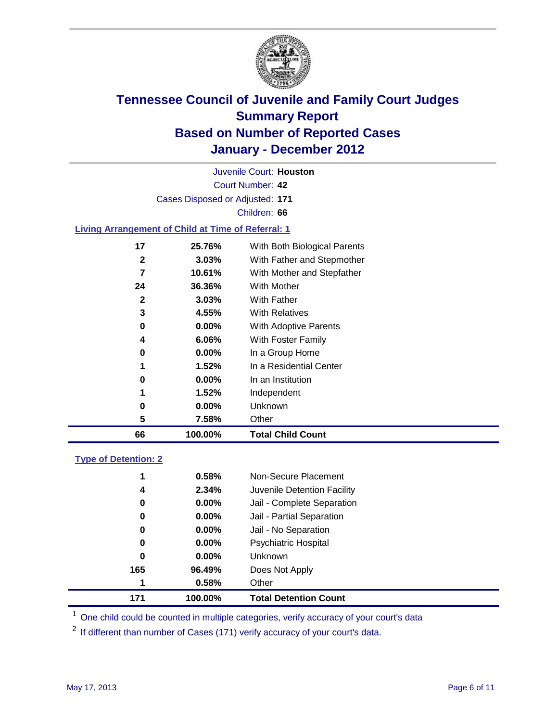

Court Number: **42** Juvenile Court: **Houston** Cases Disposed or Adjusted: **171** Children: **66 Living Arrangement of Child at Time of Referral: 1 25.76%** With Both Biological Parents **3.03%** With Father and Stepmother **10.61%** With Mother and Stepfather **36.36%** With Mother **3.03%** With Father

| 66 | 100.00%  | <b>Total Child Count</b> |
|----|----------|--------------------------|
| 5  | 7.58%    | Other                    |
| 0  | $0.00\%$ | Unknown                  |
| 1  | 1.52%    | Independent              |
| 0  | $0.00\%$ | In an Institution        |
| 1  | 1.52%    | In a Residential Center  |
| 0  | $0.00\%$ | In a Group Home          |
| 4  | 6.06%    | With Foster Family       |
| 0  | $0.00\%$ | With Adoptive Parents    |
| 3  | 4.55%    | <b>With Relatives</b>    |

#### **Type of Detention: 2**

| 171      | 100.00%  | <b>Total Detention Count</b> |
|----------|----------|------------------------------|
| 1        | 0.58%    | Other                        |
| 165      | 96.49%   | Does Not Apply               |
| 0        | $0.00\%$ | <b>Unknown</b>               |
| 0        | $0.00\%$ | Psychiatric Hospital         |
| $\bf{0}$ | 0.00%    | Jail - No Separation         |
| 0        | $0.00\%$ | Jail - Partial Separation    |
| 0        | $0.00\%$ | Jail - Complete Separation   |
| 4        | 2.34%    | Juvenile Detention Facility  |
| 1        | 0.58%    | Non-Secure Placement         |
|          |          |                              |

<sup>1</sup> One child could be counted in multiple categories, verify accuracy of your court's data

<sup>2</sup> If different than number of Cases (171) verify accuracy of your court's data.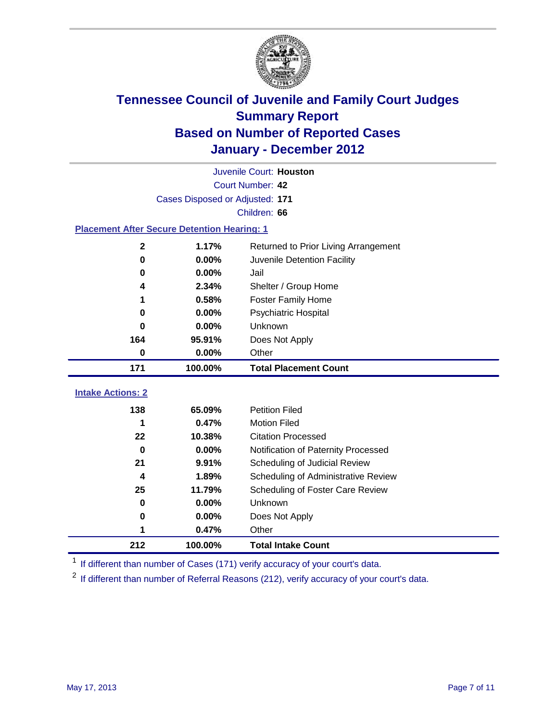

| Juvenile Court: Houston                            |                                 |                                                  |  |  |  |
|----------------------------------------------------|---------------------------------|--------------------------------------------------|--|--|--|
|                                                    | <b>Court Number: 42</b>         |                                                  |  |  |  |
|                                                    | Cases Disposed or Adjusted: 171 |                                                  |  |  |  |
|                                                    | Children: 66                    |                                                  |  |  |  |
| <b>Placement After Secure Detention Hearing: 1</b> |                                 |                                                  |  |  |  |
| $\mathbf{2}$                                       | 1.17%                           | Returned to Prior Living Arrangement             |  |  |  |
| $\bf{0}$                                           | 0.00%                           | Juvenile Detention Facility                      |  |  |  |
| 0                                                  | 0.00%                           | Jail                                             |  |  |  |
| 4                                                  | 2.34%                           | Shelter / Group Home                             |  |  |  |
| 1                                                  | 0.58%                           | <b>Foster Family Home</b>                        |  |  |  |
| 0                                                  | 0.00%                           | Psychiatric Hospital                             |  |  |  |
| 0                                                  | 0.00%                           | Unknown                                          |  |  |  |
| 164                                                | 95.91%                          | Does Not Apply                                   |  |  |  |
| 0                                                  | 0.00%                           | Other                                            |  |  |  |
| 171                                                | 100.00%                         | <b>Total Placement Count</b>                     |  |  |  |
|                                                    |                                 |                                                  |  |  |  |
|                                                    |                                 |                                                  |  |  |  |
| <b>Intake Actions: 2</b>                           |                                 |                                                  |  |  |  |
| 138<br>1                                           | 65.09%                          | <b>Petition Filed</b>                            |  |  |  |
| 22                                                 | 0.47%<br>10.38%                 | <b>Motion Filed</b><br><b>Citation Processed</b> |  |  |  |
| $\bf{0}$                                           | 0.00%                           | Notification of Paternity Processed              |  |  |  |
| 21                                                 | 9.91%                           | Scheduling of Judicial Review                    |  |  |  |
| 4                                                  | 1.89%                           | Scheduling of Administrative Review              |  |  |  |
| 25                                                 | 11.79%                          | Scheduling of Foster Care Review                 |  |  |  |
| $\bf{0}$                                           | 0.00%                           | Unknown                                          |  |  |  |
| 0                                                  | 0.00%                           | Does Not Apply                                   |  |  |  |
| 1                                                  | 0.47%                           | Other                                            |  |  |  |

<sup>1</sup> If different than number of Cases (171) verify accuracy of your court's data.

<sup>2</sup> If different than number of Referral Reasons (212), verify accuracy of your court's data.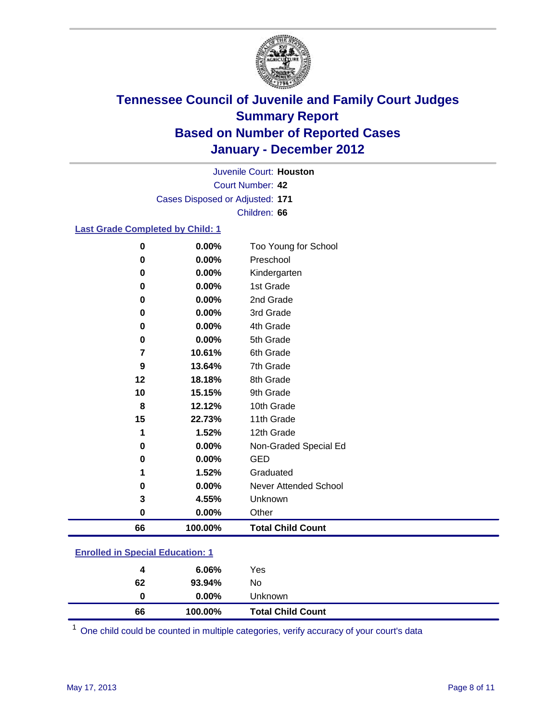

Court Number: **42** Juvenile Court: **Houston** Cases Disposed or Adjusted: **171** Children: **66**

#### **Last Grade Completed by Child: 1**

| 0  | 0.00%    | Too Young for School     |
|----|----------|--------------------------|
| 0  | 0.00%    | Preschool                |
| 0  | 0.00%    | Kindergarten             |
| 0  | 0.00%    | 1st Grade                |
| 0  | 0.00%    | 2nd Grade                |
| 0  | 0.00%    | 3rd Grade                |
| 0  | 0.00%    | 4th Grade                |
| 0  | 0.00%    | 5th Grade                |
| 7  | 10.61%   | 6th Grade                |
| 9  | 13.64%   | 7th Grade                |
| 12 | 18.18%   | 8th Grade                |
| 10 | 15.15%   | 9th Grade                |
| 8  | 12.12%   | 10th Grade               |
| 15 | 22.73%   | 11th Grade               |
| 1  | 1.52%    | 12th Grade               |
| 0  | 0.00%    | Non-Graded Special Ed    |
| 0  | 0.00%    | <b>GED</b>               |
| 1  | 1.52%    | Graduated                |
| 0  | 0.00%    | Never Attended School    |
| 3  | 4.55%    | Unknown                  |
| 0  | $0.00\%$ | Other                    |
| 66 | 100.00%  | <b>Total Child Count</b> |
|    |          |                          |

#### **Enrolled in Special Education: 1**

| 66 | 100.00%  | <b>Total Child Count</b> |
|----|----------|--------------------------|
| 0  | $0.00\%$ | Unknown                  |
| 62 | 93.94%   | No                       |
| 4  | 6.06%    | Yes                      |
|    |          |                          |

One child could be counted in multiple categories, verify accuracy of your court's data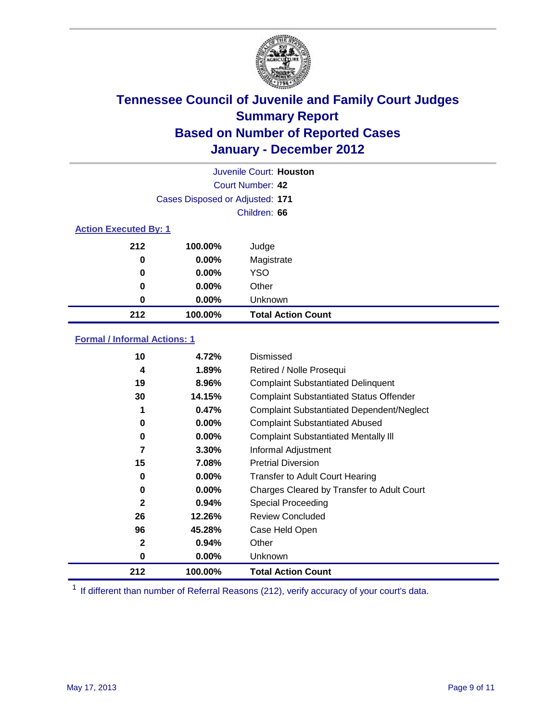

|                              | Juvenile Court: Houston         |                           |  |  |  |
|------------------------------|---------------------------------|---------------------------|--|--|--|
|                              | Court Number: 42                |                           |  |  |  |
|                              | Cases Disposed or Adjusted: 171 |                           |  |  |  |
|                              | Children: 66                    |                           |  |  |  |
| <b>Action Executed By: 1</b> |                                 |                           |  |  |  |
| 212                          | 100.00%                         | Judge                     |  |  |  |
| 0                            | $0.00\%$                        | Magistrate                |  |  |  |
| 0                            | $0.00\%$                        | YSO                       |  |  |  |
| 0                            | $0.00\%$                        | Other                     |  |  |  |
| 0                            | $0.00\%$                        | Unknown                   |  |  |  |
| 212                          | 100.00%                         | <b>Total Action Count</b> |  |  |  |

#### **Formal / Informal Actions: 1**

| 10           | 4.72%    | Dismissed                                        |
|--------------|----------|--------------------------------------------------|
| 4            | 1.89%    | Retired / Nolle Prosequi                         |
| 19           | 8.96%    | <b>Complaint Substantiated Delinquent</b>        |
| 30           | 14.15%   | <b>Complaint Substantiated Status Offender</b>   |
| 1            | 0.47%    | <b>Complaint Substantiated Dependent/Neglect</b> |
| 0            | $0.00\%$ | <b>Complaint Substantiated Abused</b>            |
| 0            | $0.00\%$ | <b>Complaint Substantiated Mentally III</b>      |
| 7            | $3.30\%$ | Informal Adjustment                              |
| 15           | 7.08%    | <b>Pretrial Diversion</b>                        |
| 0            | $0.00\%$ | <b>Transfer to Adult Court Hearing</b>           |
| 0            | $0.00\%$ | Charges Cleared by Transfer to Adult Court       |
| $\mathbf{2}$ | 0.94%    | Special Proceeding                               |
| 26           | 12.26%   | <b>Review Concluded</b>                          |
| 96           | 45.28%   | Case Held Open                                   |
| $\mathbf{2}$ | 0.94%    | Other                                            |
| 0            | $0.00\%$ | <b>Unknown</b>                                   |
| 212          | 100.00%  | <b>Total Action Count</b>                        |

<sup>1</sup> If different than number of Referral Reasons (212), verify accuracy of your court's data.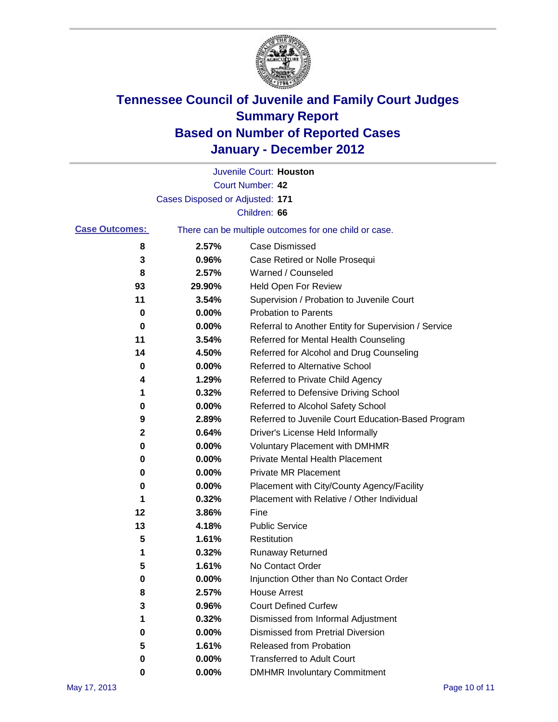

|                       |                                 | Juvenile Court: Houston                               |
|-----------------------|---------------------------------|-------------------------------------------------------|
|                       |                                 | Court Number: 42                                      |
|                       | Cases Disposed or Adjusted: 171 |                                                       |
|                       |                                 | Children: 66                                          |
| <b>Case Outcomes:</b> |                                 | There can be multiple outcomes for one child or case. |
| 8                     | 2.57%                           | <b>Case Dismissed</b>                                 |
| 3                     | 0.96%                           | Case Retired or Nolle Prosequi                        |
| 8                     | 2.57%                           | Warned / Counseled                                    |
| 93                    | 29.90%                          | Held Open For Review                                  |
| 11                    | 3.54%                           | Supervision / Probation to Juvenile Court             |
| 0                     | 0.00%                           | <b>Probation to Parents</b>                           |
| 0                     | 0.00%                           | Referral to Another Entity for Supervision / Service  |
| 11                    | 3.54%                           | Referred for Mental Health Counseling                 |
| 14                    | 4.50%                           | Referred for Alcohol and Drug Counseling              |
| 0                     | 0.00%                           | Referred to Alternative School                        |
| 4                     | 1.29%                           | Referred to Private Child Agency                      |
| 1                     | 0.32%                           | Referred to Defensive Driving School                  |
| 0                     | 0.00%                           | Referred to Alcohol Safety School                     |
| 9                     | 2.89%                           | Referred to Juvenile Court Education-Based Program    |
| $\mathbf 2$           | 0.64%                           | Driver's License Held Informally                      |
| 0                     | 0.00%                           | <b>Voluntary Placement with DMHMR</b>                 |
| 0                     | 0.00%                           | Private Mental Health Placement                       |
| 0                     | 0.00%                           | Private MR Placement                                  |
| 0                     | 0.00%                           | Placement with City/County Agency/Facility            |
| 1                     | 0.32%                           | Placement with Relative / Other Individual            |
| 12                    | 3.86%                           | Fine                                                  |
| 13                    | 4.18%                           | <b>Public Service</b>                                 |
| 5                     | 1.61%                           | Restitution                                           |
| 1                     | 0.32%                           | <b>Runaway Returned</b>                               |
| 5                     | 1.61%                           | No Contact Order                                      |
| 0                     | 0.00%                           | Injunction Other than No Contact Order                |
| 8                     | 2.57%                           | <b>House Arrest</b>                                   |
| 3                     | 0.96%                           | <b>Court Defined Curfew</b>                           |
| 1                     | 0.32%                           | Dismissed from Informal Adjustment                    |
| 0                     | 0.00%                           | <b>Dismissed from Pretrial Diversion</b>              |
| 5                     | 1.61%                           | <b>Released from Probation</b>                        |
| 0                     | 0.00%                           | <b>Transferred to Adult Court</b>                     |
| 0                     | $0.00\%$                        | <b>DMHMR Involuntary Commitment</b>                   |